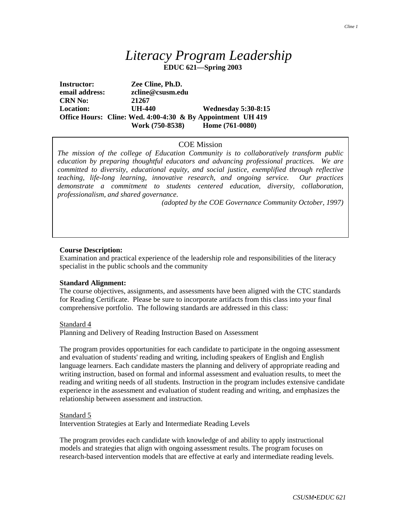# *Literacy Program Leadership* **EDUC 621—Spring 2003**

**Instructor: Zee Cline, Ph.D. email address: zcline@csusm.edu CRN No: 21267 Location: UH-440 Wednesday 5:30-8:15 Office Hours: Cline: Wed. 4:00-4:30 & By Appointment UH 419 Work (750-8538) Home (761-0080)**

#### COE Mission

*The mission of the college of Education Community is to collaboratively transform public education by preparing thoughtful educators and advancing professional practices. We are committed to diversity, educational equity, and social justice, exemplified through reflective teaching, life-long learning, innovative research, and ongoing service. Our practices demonstrate a commitment to students centered education, diversity, collaboration, professionalism, and shared governance.*

*(adopted by the COE Governance Community October, 1997)*

#### **Course Description:**

Examination and practical experience of the leadership role and responsibilities of the literacy specialist in the public schools and the community

#### **Standard Alignment:**

The course objectives, assignments, and assessments have been aligned with the CTC standards for Reading Certificate. Please be sure to incorporate artifacts from this class into your final comprehensive portfolio. The following standards are addressed in this class:

#### Standard 4

Planning and Delivery of Reading Instruction Based on Assessment

The program provides opportunities for each candidate to participate in the ongoing assessment and evaluation of students' reading and writing, including speakers of English and English language learners. Each candidate masters the planning and delivery of appropriate reading and writing instruction, based on formal and informal assessment and evaluation results, to meet the reading and writing needs of all students. Instruction in the program includes extensive candidate experience in the assessment and evaluation of student reading and writing, and emphasizes the relationship between assessment and instruction.

#### Standard 5

Intervention Strategies at Early and Intermediate Reading Levels

The program provides each candidate with knowledge of and ability to apply instructional models and strategies that align with ongoing assessment results. The program focuses on research-based intervention models that are effective at early and intermediate reading levels.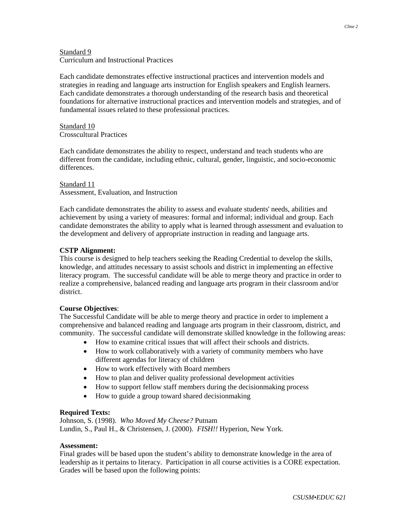*Cline 2*

Standard 9 Curriculum and Instructional Practices

Each candidate demonstrates effective instructional practices and intervention models and strategies in reading and language arts instruction for English speakers and English learners. Each candidate demonstrates a thorough understanding of the research basis and theoretical foundations for alternative instructional practices and intervention models and strategies, and of fundamental issues related to these professional practices.

#### Standard 10 Crosscultural Practices

Each candidate demonstrates the ability to respect, understand and teach students who are different from the candidate, including ethnic, cultural, gender, linguistic, and socio-economic differences.

#### Standard 11 Assessment, Evaluation, and Instruction

Each candidate demonstrates the ability to assess and evaluate students' needs, abilities and achievement by using a variety of measures: formal and informal; individual and group. Each candidate demonstrates the ability to apply what is learned through assessment and evaluation to the development and delivery of appropriate instruction in reading and language arts.

# **CSTP Alignment:**

This course is designed to help teachers seeking the Reading Credential to develop the skills, knowledge, and attitudes necessary to assist schools and district in implementing an effective literacy program. The successful candidate will be able to merge theory and practice in order to realize a comprehensive, balanced reading and language arts program in their classroom and/or district.

# **Course Objectives**:

The Successful Candidate will be able to merge theory and practice in order to implement a comprehensive and balanced reading and language arts program in their classroom, district, and community. The successful candidate will demonstrate skilled knowledge in the following areas:

- How to examine critical issues that will affect their schools and districts.
- How to work collaboratively with a variety of community members who have different agendas for literacy of children
- How to work effectively with Board members
- How to plan and deliver quality professional development activities
- How to support fellow staff members during the decision making process
- How to guide a group toward shared decision making

# **Required Texts:**

Johnson, S. (1998). *Who Moved My Cheese?* Putnam Lundin, S., Paul H., & Christensen, J. (2000). *FISH!!* Hyperion, New York.

# **Assessment:**

Final grades will be based upon the student's ability to demonstrate knowledge in the area of leadership as it pertains to literacy. Participation in all course activities is a CORE expectation. Grades will be based upon the following points: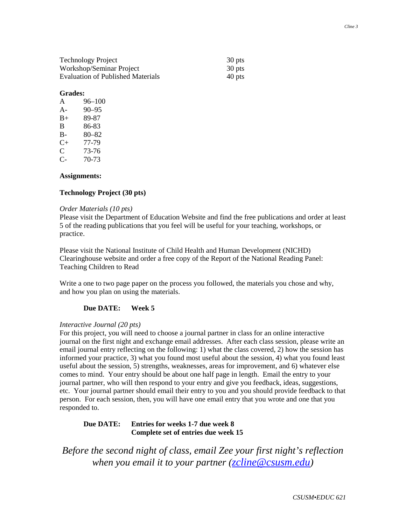| <b>Technology Project</b>                | 30 pts |
|------------------------------------------|--------|
| Workshop/Seminar Project                 | 30 pts |
| <b>Evaluation of Published Materials</b> | 40 pts |

#### **Grades:**

| A         | 96–100    |
|-----------|-----------|
| A-        | $90 - 95$ |
| $B+$      | 89-87     |
| B         | 86-83     |
| B-        | 80–82     |
| $C_{\pm}$ | 77-79     |
| C         | 73-76     |
| C-        | 70-73     |

#### **Assignments:**

#### **Technology Project (30 pts)**

#### *Order Materials (10 pts)*

Please visit the Department of Education Website and find the free publications and order at least 5 of the reading publications that you feel will be useful for your teaching, workshops, or practice.

Please visit the National Institute of Child Health and Human Development (NICHD) Clearinghouse website and order a free copy of the Report of the National Reading Panel: Teaching Children to Read

Write a one to two page paper on the process you followed, the materials you chose and why, and how you plan on using the materials.

#### **Due DATE: Week 5**

#### *Interactive Journal (20 pts)*

For this project, you will need to choose a journal partner in class for an online interactive journal on the first night and exchange email addresses. After each class session, please write an email journal entry reflecting on the following: 1) what the class covered, 2) how the session has informed your practice, 3) what you found most useful about the session, 4) what you found least useful about the session, 5) strengths, weaknesses, areas for improvement, and 6) whatever else comes to mind. Your entry should be about one half page in length. Email the entry to your journal partner, who will then respond to your entry and give you feedback, ideas, suggestions, etc. Your journal partner should email their entry to you and you should provide feedback to that person. For each session, then, you will have one email entry that you wrote and one that you responded to.

#### **Due DATE: Entries for weeks 1-7 due week 8 Complete set of entries due week 15**

*Before the second night of class, email Zee your first night's reflection when you email it to your partner [\(zcline@csusm.edu\)](mailto:zcline@csusm.edu)*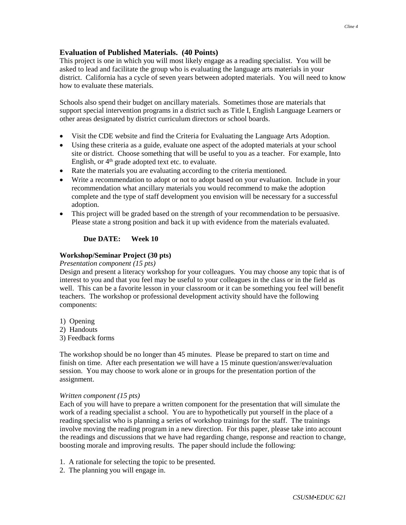# **Evaluation of Published Materials. (40 Points)**

This project is one in which you will most likely engage as a reading specialist. You will be asked to lead and facilitate the group who is evaluating the language arts materials in your district. California has a cycle of seven years between adopted materials. You will need to know how to evaluate these materials.

Schools also spend their budget on ancillary materials. Sometimes those are materials that support special intervention programs in a district such as Title I, English Language Learners or other areas designated by district curriculum directors or school boards.

- Visit the CDE website and find the Criteria for Evaluating the Language Arts Adoption.
- Using these criteria as a guide, evaluate one aspect of the adopted materials at your school site or district. Choose something that will be useful to you as a teacher. For example, Into English, or  $4<sup>th</sup>$  grade adopted text etc. to evaluate.
- Rate the materials you are evaluating according to the criteria mentioned.
- Write a recommendation to adopt or not to adopt based on your evaluation. Include in your recommendation what ancillary materials you would recommend to make the adoption complete and the type of staff development you envision will be necessary for a successful adoption.
- This project will be graded based on the strength of your recommendation to be persuasive. Please state a strong position and back it up with evidence from the materials evaluated.

# **Due DATE: Week 10**

# **Workshop/Seminar Project (30 pts)**

### *Presentation component (15 pts)*

Design and present a literacy workshop for your colleagues. You may choose any topic that is of interest to you and that you feel may be useful to your colleagues in the class or in the field as well. This can be a favorite lesson in your classroom or it can be something you feel will benefit teachers. The workshop or professional development activity should have the following components:

- 1) Opening
- 2) Handouts
- 3) Feedback forms

The workshop should be no longer than 45 minutes. Please be prepared to start on time and finish on time. After each presentation we will have a 15 minute question/answer/evaluation session. You may choose to work alone or in groups for the presentation portion of the assignment.

# *Written component (15 pts)*

Each of you will have to prepare a written component for the presentation that will simulate the work of a reading specialist a school. You are to hypothetically put yourself in the place of a reading specialist who is planning a series of workshop trainings for the staff. The trainings involve moving the reading program in a new direction. For this paper, please take into account the readings and discussions that we have had regarding change, response and reaction to change, boosting morale and improving results. The paper should include the following:

- 1. A rationale for selecting the topic to be presented.
- 2. The planning you will engage in.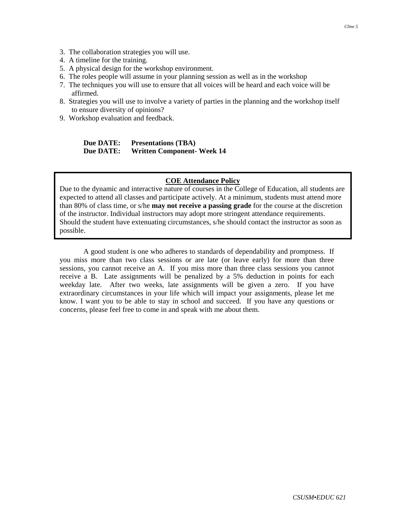- 3. The collaboration strategies you will use.
- 4. A timeline for the training.
- 5. A physical design for the workshop environment.
- 6. The roles people will assume in your planning session as well as in the workshop
- 7. The techniques you will use to ensure that all voices will be heard and each voice will be affirmed.
- 8. Strategies you will use to involve a variety of parties in the planning and the workshop itself to ensure diversity of opinions?
- 9. Workshop evaluation and feedback.

**Due DATE: Presentations (TBA) Due DATE: Written Component- Week 14**

#### **COE Attendance Policy**

Due to the dynamic and interactive nature of courses in the College of Education, all students are expected to attend all classes and participate actively. At a minimum, students must attend more than 80% of class time, or s/he **may not receive a passing grade** for the course at the discretion of the instructor. Individual instructors may adopt more stringent attendance requirements. Should the student have extenuating circumstances, s/he should contact the instructor as soon as possible.

A good student is one who adheres to standards of dependability and promptness. If you miss more than two class sessions or are late (or leave early) for more than three sessions, you cannot receive an A. If you miss more than three class sessions you cannot receive a B. Late assignments will be penalized by a 5% deduction in points for each weekday late. After two weeks, late assignments will be given a zero. If you have extraordinary circumstances in your life which will impact your assignments, please let me know. I want you to be able to stay in school and succeed. If you have any questions or concerns, please feel free to come in and speak with me about them.